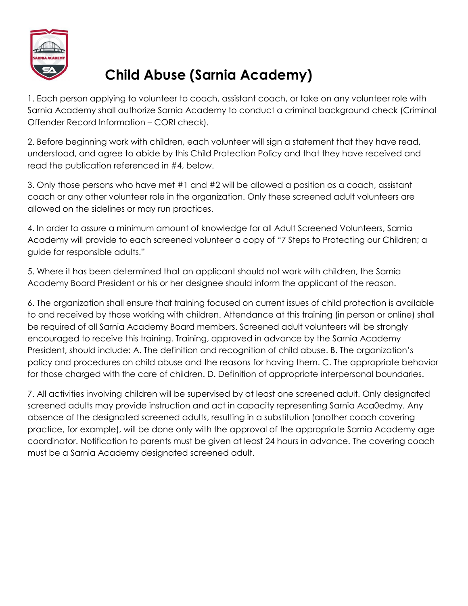

## **Child Abuse (Sarnia Academy)**

1. Each person applying to volunteer to coach, assistant coach, or take on any volunteer role with Sarnia Academy shall authorize Sarnia Academy to conduct a criminal background check (Criminal Offender Record Information – CORI check).

2. Before beginning work with children, each volunteer will sign a statement that they have read, understood, and agree to abide by this Child Protection Policy and that they have received and read the publication referenced in #4, below.

3. Only those persons who have met #1 and #2 will be allowed a position as a coach, assistant coach or any other volunteer role in the organization. Only these screened adult volunteers are allowed on the sidelines or may run practices.

4. In order to assure a minimum amount of knowledge for all Adult Screened Volunteers, Sarnia Academy will provide to each screened volunteer a copy of "7 Steps to Protecting our Children; a guide for responsible adults."

5. Where it has been determined that an applicant should not work with children, the Sarnia Academy Board President or his or her designee should inform the applicant of the reason.

6. The organization shall ensure that training focused on current issues of child protection is available to and received by those working with children. Attendance at this training (in person or online) shall be required of all Sarnia Academy Board members. Screened adult volunteers will be strongly encouraged to receive this training. Training, approved in advance by the Sarnia Academy President, should include: A. The definition and recognition of child abuse. B. The organization's policy and procedures on child abuse and the reasons for having them. C. The appropriate behavior for those charged with the care of children. D. Definition of appropriate interpersonal boundaries.

7. All activities involving children will be supervised by at least one screened adult. Only designated screened adults may provide instruction and act in capacity representing Sarnia Aca0edmy. Any absence of the designated screened adults, resulting in a substitution (another coach covering practice, for example), will be done only with the approval of the appropriate Sarnia Academy age coordinator. Notification to parents must be given at least 24 hours in advance. The covering coach must be a Sarnia Academy designated screened adult.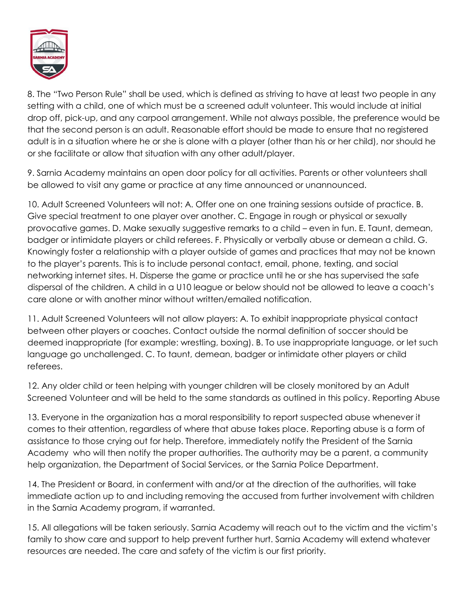

8. The "Two Person Rule" shall be used, which is defined as striving to have at least two people in any setting with a child, one of which must be a screened adult volunteer. This would include at initial drop off, pick-up, and any carpool arrangement. While not always possible, the preference would be that the second person is an adult. Reasonable effort should be made to ensure that no registered adult is in a situation where he or she is alone with a player (other than his or her child), nor should he or she facilitate or allow that situation with any other adult/player.

9. Sarnia Academy maintains an open door policy for all activities. Parents or other volunteers shall be allowed to visit any game or practice at any time announced or unannounced.

10. Adult Screened Volunteers will not: A. Offer one on one training sessions outside of practice. B. Give special treatment to one player over another. C. Engage in rough or physical or sexually provocative games. D. Make sexually suggestive remarks to a child – even in fun. E. Taunt, demean, badger or intimidate players or child referees. F. Physically or verbally abuse or demean a child. G. Knowingly foster a relationship with a player outside of games and practices that may not be known to the player's parents. This is to include personal contact, email, phone, texting, and social networking internet sites. H. Disperse the game or practice until he or she has supervised the safe dispersal of the children. A child in a U10 league or below should not be allowed to leave a coach's care alone or with another minor without written/emailed notification.

11. Adult Screened Volunteers will not allow players: A. To exhibit inappropriate physical contact between other players or coaches. Contact outside the normal definition of soccer should be deemed inappropriate (for example: wrestling, boxing). B. To use inappropriate language, or let such language go unchallenged. C. To taunt, demean, badger or intimidate other players or child referees.

12. Any older child or teen helping with younger children will be closely monitored by an Adult Screened Volunteer and will be held to the same standards as outlined in this policy. Reporting Abuse

13. Everyone in the organization has a moral responsibility to report suspected abuse whenever it comes to their attention, regardless of where that abuse takes place. Reporting abuse is a form of assistance to those crying out for help. Therefore, immediately notify the President of the Sarnia Academy who will then notify the proper authorities. The authority may be a parent, a community help organization, the Department of Social Services, or the Sarnia Police Department.

14. The President or Board, in conferment with and/or at the direction of the authorities, will take immediate action up to and including removing the accused from further involvement with children in the Sarnia Academy program, if warranted.

15. All allegations will be taken seriously. Sarnia Academy will reach out to the victim and the victim's family to show care and support to help prevent further hurt. Sarnia Academy will extend whatever resources are needed. The care and safety of the victim is our first priority.